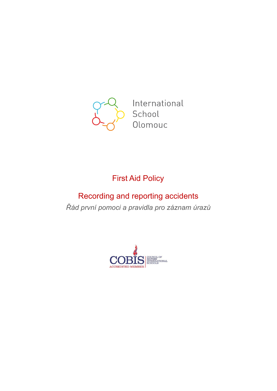

International School Olomouc

# First Aid Policy

# Recording and reporting accidents *Řád první pomoci a pravidla pro záznam úrazů*

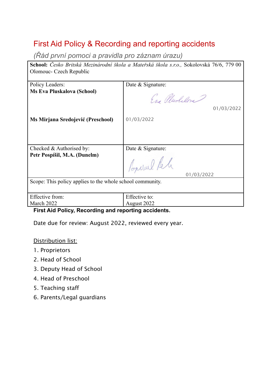# First Aid Policy & Recording and reporting accidents

*(Řád první pomoci a pravidla pro záznam úrazu)*

**School:** *Česko Britská Mezinárodní škola a Mateřská škola s.r.o.,* Sokolovská 76/6, 779 00 Olomouc- Czech Republic

| Policy Leaders:                                           | Date & Signature: |
|-----------------------------------------------------------|-------------------|
| <b>Ms Eva Pluskalova (School)</b>                         | Eas Plushelon     |
|                                                           | 01/03/2022        |
| Ms Mirjana Sredojević (Preschool)                         | 01/03/2022        |
|                                                           |                   |
| Checked & Authorised by:                                  | Date & Signature: |
| Petr Pospíšil, M.A. (Dunelm)                              | Popular Reli      |
|                                                           | 01/03/2022        |
| Scope: This policy applies to the whole school community. |                   |
| Effective from:                                           | Effective to:     |
|                                                           |                   |
| March 2022                                                | August 2022       |

**First Aid Policy, Recording and reporting accidents.**

Date due for review: August 2022, reviewed every year.

Distribution list:

- 1. Proprietors
- 2. Head of School
- 3. Deputy Head of School
- 4. Head of Preschool
- 5. Teaching staff
- 6. Parents/Legal guardians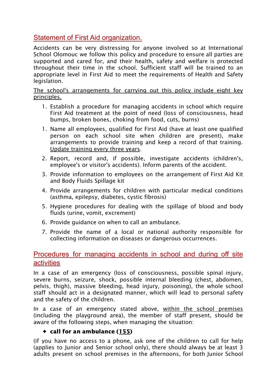# Statement of First Aid organization.

Accidents can be very distressing for anyone involved so at International School Olomouc we follow this policy and procedure to ensure all parties are supported and cared for, and their health, safety and welfare is protected throughout their time in the school. Sufficient staff will be trained to an appropriate level in First Aid to meet the requirements of Health and Safety legislation.

The school's arrangements for carrying out this policy include eight key principles.

- 1. Establish a procedure for managing accidents in school which require First Aid treatment at the point of need (loss of consciousness, head bumps, broken bones, choking from food, cuts, burns)
- 1. Name all employees, qualified for First Aid (have at least one qualified person on each school site when children are present), make arrangements to provide training and keep a record of that training. Update training every three years.
- 2. Report, record and, if possible, investigate accidents (children's, employee's or visitor's accidents). Inform parents of the accident.
- 3. Provide information to employees on the arrangement of First Aid Kit and Body Fluids Spillage kit
- 4. Provide arrangements for children with particular medical conditions (asthma, epilepsy, diabetes, cystic fibrosis)
- 5. Hygiene procedures for dealing with the spillage of blood and body fluids (urine, vomit, excrement)
- 6. Provide guidance on when to call an ambulance.
- 7. Provide the name of a local or national authority responsible for collecting information on diseases or dangerous occurrences.

# Procedures for managing accidents in school and during off site activities

In a case of an emergency (loss of consciousness, possible spinal injury, severe burns, seizure, shock, possible internal bleeding (chest, abdomen, pelvis, thigh), massive bleeding, head injury, poisoning), the whole school staff should act in a designated manner, which will lead to personal safety and the safety of the children.

In a case of an emergency stated above, within the school premises (including the playground area), the member of staff present, should be aware of the following steps, when managing the situation:

#### $\triangleleft$  call for an ambulance (155)

(if you have no access to a phone, ask one of the children to call for help (applies to Junior and Senior school only), there should always be at least 3 adults present on school premises in the afternoons, for both Junior School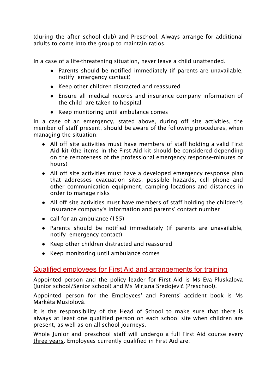(during the after school club) and Preschool. Always arrange for additional adults to come into the group to maintain ratios.

In a case of a life-threatening situation, never leave a child unattended.

- Parents should be notified immediately (if parents are unavailable, notify emergency contact)
- Keep other children distracted and reassured
- Ensure all medical records and insurance company information of the child are taken to hospital
- Keep monitoring until ambulance comes

In a case of an emergency, stated above, during off site activities, the member of staff present, should be aware of the following procedures, when managing the situation:

- All off site activities must have members of staff holding a valid First Aid kit (the items in the First Aid kit should be considered depending on the remoteness of the professional emergency response-minutes or hours)
- All off site activities must have a developed emergency response plan that addresses evacuation sites, possible hazards, cell phone and other communication equipment, camping locations and distances in order to manage risks
- All off site activities must have members of staff holding the children's insurance company's information and parents' contact number
- call for an ambulance  $(155)$
- Parents should be notified immediately (if parents are unavailable, notify emergency contact)
- Keep other children distracted and reassured
- Keep monitoring until ambulance comes

# Qualified employees for First Aid and arrangements for training

Appointed person and the policy leader for First Aid is Ms Eva Pluskalova (Junior school/Senior school) and Ms Mirjana Sredojević (Preschool).

Appointed person for the Employees' and Parents' accident book is Ms Markéta Musiolová.

It is the responsibility of the Head of School to make sure that there is always at least one qualified person on each school site when children are present, as well as on all school journeys.

Whole Junior and preschool staff will undergo a full First Aid course every three years. Employees currently qualified in First Aid are: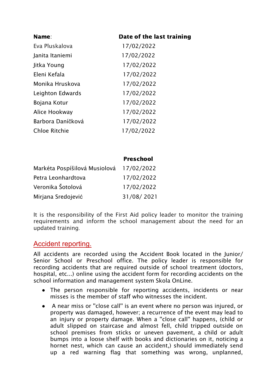| Name:                | Date of the last training |
|----------------------|---------------------------|
| Eva Pluskalova       | 17/02/2022                |
| Janita Itaniemi      | 17/02/2022                |
| Jitka Young          | 17/02/2022                |
| Eleni Kefala         | 17/02/2022                |
| Monika Hruskova      | 17/02/2022                |
| Leighton Edwards     | 17/02/2022                |
| Bojana Kotur         | 17/02/2022                |
| Alice Hookway        | 17/02/2022                |
| Barbora Daníčková    | 17/02/2022                |
| <b>Chloe Ritchie</b> | 17/02/2022                |

#### Preschool

| Markéta Pospíšilová Musiolová | 17/02/2022 |
|-------------------------------|------------|
| Petra Leonhardtova            | 17/02/2022 |
| Veronika Šotolová             | 17/02/2022 |
| Mirjana Sredojević            | 31/08/2021 |

It is the responsibility of the First Aid policy leader to monitor the training requirements and inform the school management about the need for an updated training.

## Accident reporting.

All accidents are recorded using the Accident Book located in the Junior/ Senior School or Preschool office. The policy leader is responsible for recording accidents that are required outside of school treatment (doctors, hospital, etc...) online using the accident form for recording accidents on the school information and management system Skola OnLine.

- The person responsible for reporting accidents, incidents or near misses is the member of staff who witnesses the incident.
- A near miss or ''close call'' is an event where no person was injured, or property was damaged, however; a recurrence of the event may lead to an injury or property damage. When a ''close call'' happens, (child or adult slipped on staircase and almost fell, child tripped outside on school premises from sticks or uneven pavement, a child or adult bumps into a loose shelf with books and dictionaries on it, noticing a hornet nest, which can cause an accident,) should immediately send up a red warning flag that something was wrong, unplanned,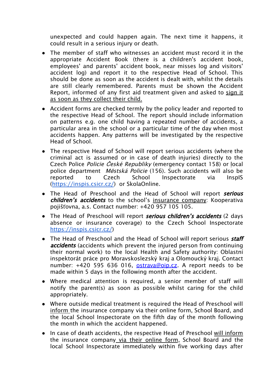unexpected and could happen again. The next time it happens, it could result in a serious injury or death.

- The member of staff who witnesses an accident must record it in the appropriate Accident Book (there is a children's accident book, employees' and parents' accident book, near misses log and visitors' accident log) and report it to the respective Head of School. This should be done as soon as the accident is dealt with, whilst the details are still clearly remembered. Parents must be shown the Accident Report, informed of any first aid treatment given and asked to sign it as soon as they collect their child.
- Accident forms are checked termly by the policy leader and reported to the respective Head of School. The report should include information on patterns e.g. one child having a repeated number of accidents, a particular area in the school or a particular time of the day when most accidents happen. Any patterns will be investigated by the respective Head of School.
- The respective Head of School will report serious accidents (where the criminal act is assumed or in case of death injuries) directly to the Czech Police Policie *Č*eské Republiky (emergency contact 158) or local police department M*ě*stská Policie (156). Such accidents will also be reported to Czech School Inspectorate via InspIS ([https://inspis.csicr.cz/](https://inspis.csicr.cz/app/j02_framework_institution_general.aspx)) or SkolaOnline.
- The Head of Preschool and the Head of School will report serious children's accidents to the school's insurance company: Kooperativa pojišťovna, a.s. Contact number: +420 957 105 105.
- The Head of Preschool will report serious children's accidents (2 days absence or insurance coverage) to the Czech School Inspectorate [https://inspis.csicr.cz/](https://inspis.csicr.cz/app/j02_framework_institution_general.aspx))
- The Head of Preschool and the Head of School will report serious *staff* accidents (accidents which prevent the injured person from continuing their normal work) to the local Health and Safety authority: Oblastní inspektorát práce pro Moravskoslezský kraj a Olomoucký kraj. Contact number: +420 595 636 016, [ostrava@oip.cz](mailto:ostrava@oip.cz). A report needs to be made within 5 days in the following month after the accident.
- Where medical attention is required, a senior member of staff will notify the parent(s) as soon as possible whilst caring for the child appropriately.
- Where outside medical treatment is required the Head of Preschool will inform the insurance company via their online form, School Board, and the local School Inspectorate on the fifth day of the month following the month in which the accident happened.
- In case of death accidents, the respective Head of Preschool will inform the insurance company via their online form, School Board and the local School Inspectorate immediately within five working days after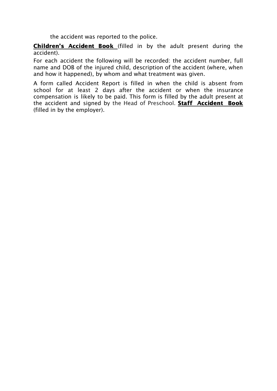the accident was reported to the police.

Children's Accident Book (filled in by the adult present during the accident).

For each accident the following will be recorded: the accident number, full name and DOB of the injured child, description of the accident (where, when and how it happened), by whom and what treatment was given.

A form called Accident Report is filled in when the child is absent from school for at least 2 days after the accident or when the insurance compensation is likely to be paid. This form is filled by the adult present at the accident and signed by the Head of Preschool. **Staff Accident Book** (filled in by the employer).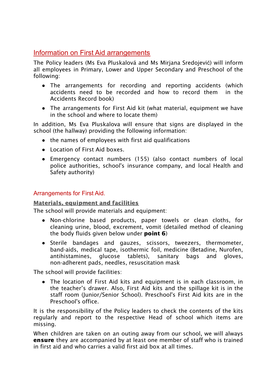# Information on First Aid arrangements

The Policy leaders (Ms Eva Pluskalová and Ms Mirjana Sredojević) will inform all employees in Primary, Lower and Upper Secondary and Preschool of the following:

- The arrangements for recording and reporting accidents (which accidents need to be recorded and how to record them in the Accidents Record book)
- The arrangements for First Aid kit (what material, equipment we have in the school and where to locate them)

In addition, Ms Eva Pluskalova will ensure that signs are displayed in the school (the hallway) providing the following information:

- the names of employees with first aid qualifications
- Location of First Aid boxes.
- Emergency contact numbers (155) (also contact numbers of local police authorities, school's insurance company, and local Health and Safety authority)

## Arrangements for First Aid.

#### Materials, equipment and facilities

The school will provide materials and equipment:

- Non-chlorine based products, paper towels or clean cloths, for cleaning urine, blood, excrement, vomit (detailed method of cleaning the body fluids given below under **point 6**)
- Sterile bandages and gauzes, scissors, tweezers, thermometer, band-aids, medical tape, isothermic foil, medicine (Betadine, Nurofen, antihistamines, glucose tablets), sanitary bags and gloves, non-adherent pads, needles, resuscitation mask

The school will provide facilities:

• The location of First Aid kits and equipment is in each classroom, in the teacher's drawer. Also, First Aid kits and the spillage kit is in the staff room (Junior/Senior School). Preschool's First Aid kits are in the Preschool's office.

It is the responsibility of the Policy leaders to check the contents of the kits regularly and report to the respective Head of school which items are missing.

When children are taken on an outing away from our school, we will always **ensure** they are accompanied by at least one member of staff who is trained in first aid and who carries a valid first aid box at all times.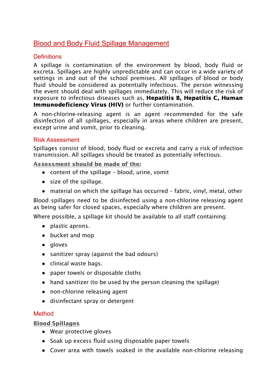# Blood and Body Fluid Spillage Management

## **Definitions**

A spillage is contamination of the environment by blood, body fluid or excreta. Spillages are highly unpredictable and can occur in a wide variety of settings in and out of the school premises. All spillages of blood or body fluid should be considered as potentially infectious. The person witnessing the event should deal with spillages immediately. This will reduce the risk of exposure to infectious diseases such as, Hepatitis B, Hepatitis C, Human **Immunodeficiency Virus (HIV)** or further contamination.

A non-chlorine-releasing agent is an agent recommended for the safe disinfection of all spillages, especially in areas where children are present, except urine and vomit, prior to cleaning.

#### Risk Assessment

Spillages consist of blood, body fluid or excreta and carry a risk of infection transmission. All spillages should be treated as potentially infectious.

Assessment should be made of the:

- content of the spillage blood, urine, vomit
- size of the spillage.
- material on which the spillage has occurred fabric, vinyl, metal, other

Blood spillages need to be disinfected using a non-chlorine releasing agent as being safer for closed spaces, especially where children are present.

Where possible, a spillage kit should be available to all staff containing:

- plastic aprons.
- bucket and mop
- gloves
- sanitizer spray (against the bad odours)
- clinical waste bags.
- paper towels or disposable cloths
- hand sanitizer (to be used by the person cleaning the spillage)
- non-chlorine releasing agent
- disinfectant spray or detergent

## Method

#### Blood Spillages

- Wear protective gloves
- Soak up excess fluid using disposable paper towels
- Cover area with towels soaked in the available non-chlorine releasing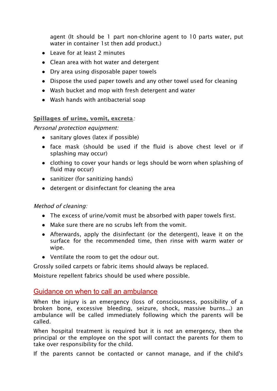agent (It should be 1 part non-chlorine agent to 10 parts water, put water in container 1st then add product.)

- Leave for at least 2 minutes
- Clean area with hot water and detergent
- Dry area using disposable paper towels
- Dispose the used paper towels and any other towel used for cleaning
- Wash bucket and mop with fresh detergent and water
- Wash hands with antibacterial soap

#### Spillages of urine, vomit, excreta:

Personal protection equipment:

- sanitary gloves (latex if possible)
- face mask (should be used if the fluid is above chest level or if splashing may occur)
- clothing to cover your hands or legs should be worn when splashing of fluid may occur)
- sanitizer (for sanitizing hands)
- detergent or disinfectant for cleaning the area

#### Method of cleaning:

- The excess of urine/vomit must be absorbed with paper towels first.
- Make sure there are no scrubs left from the vomit.
- Afterwards, apply the disinfectant (or the detergent), leave it on the surface for the recommended time, then rinse with warm water or wipe.
- Ventilate the room to get the odour out.

Grossly soiled carpets or fabric items should always be replaced.

Moisture repellent fabrics should be used where possible.

## Guidance on when to call an ambulance

When the injury is an emergency (loss of consciousness, possibility of a broken bone, excessive bleeding, seizure, shock, massive burns...) an ambulance will be called immediately following which the parents will be called.

When hospital treatment is required but it is not an emergency, then the principal or the employee on the spot will contact the parents for them to take over responsibility for the child.

If the parents cannot be contacted or cannot manage, and if the child's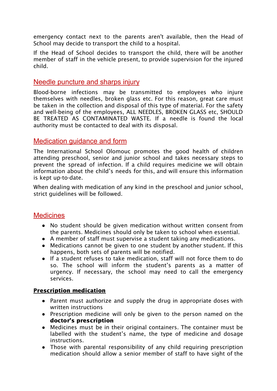emergency contact next to the parents aren't available, then the Head of School may decide to transport the child to a hospital.

If the Head of School decides to transport the child, there will be another member of staff in the vehicle present, to provide supervision for the injured child.

## Needle puncture and sharps injury

Blood-borne infections may be transmitted to employees who injure themselves with needles, broken glass etc. For this reason, great care must be taken in the collection and disposal of this type of material. For the safety and well-being of the employees, ALL NEEDLES, BROKEN GLASS etc, SHOULD BE TREATED AS CONTAMINATED WASTE. If a needle is found the local authority must be contacted to deal with its disposal.

# Medication guidance and form

The International School Olomouc promotes the good health of children attending preschool, senior and junior school and takes necessary steps to prevent the spread of infection. If a child requires medicine we will obtain information about the child's needs for this, and will ensure this information is kept up-to-date.

When dealing with medication of any kind in the preschool and junior school, strict guidelines will be followed.

# **Medicines**

- No student should be given medication without written consent from the parents. Medicines should only be taken to school when essential.
- A member of staff must supervise a student taking any medications.
- Medications cannot be given to one student by another student. If this happens, both sets of parents will be notified.
- If a student refuses to take medication, staff will not force them to do so. The school will inform the student's parents as a matter of urgency. If necessary, the school may need to call the emergency services.

## Prescription medication

- Parent must authorize and supply the drug in appropriate doses with written instructions
- **●** Prescription medicine will only be given to the person named on the doctor's prescription
- Medicines must be in their original containers. The container must be labelled with the student's name, the type of medicine and dosage instructions.
- Those with parental responsibility of any child requiring prescription medication should allow a senior member of staff to have sight of the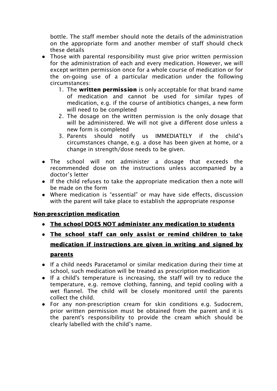bottle. The staff member should note the details of the administration on the appropriate form and another member of staff should check these details

- Those with parental responsibility must give prior written permission for the administration of each and every medication. However, we will except written permission once for a whole course of medication or for the on-going use of a particular medication under the following circumstances:
	- 1. The written permission is only acceptable for that brand name of medication and cannot be used for similar types of medication, e.g. if the course of antibiotics changes, a new form will need to be completed
	- 2. The dosage on the written permission is the only dosage that will be administered. We will not give a different dose unless a new form is completed
	- 3. Parents should notify us IMMEDIATELY if the child's circumstances change, e.g. a dose has been given at home, or a change in strength/dose needs to be given.
- The school will not administer a dosage that exceeds the recommended dose on the instructions unless accompanied by a doctor's letter
- If the child refuses to take the appropriate medication then a note will be made on the form
- Where medication is "essential" or may have side effects, discussion with the parent will take place to establish the appropriate response

# Non-prescription medication

- **●** The school DOES NOT administer any medication to students
- **●** The school staff can only assist or remind children to take medication if instructions are given in writing and signed by parents
- If a child needs Paracetamol or similar medication during their time at school, such medication will be treated as prescription medication
- If a child's temperature is increasing, the staff will try to reduce the temperature, e.g. remove clothing, fanning, and tepid cooling with a wet flannel. The child will be closely monitored until the parents collect the child.
- For any non-prescription cream for skin conditions e.g. Sudocrem, prior written permission must be obtained from the parent and it is the parent's responsibility to provide the cream which should be clearly labelled with the child's name.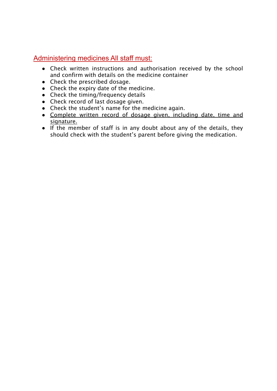# Administering medicines All staff must:

- Check written instructions and authorisation received by the school and confirm with details on the medicine container
- Check the prescribed dosage.
- Check the expiry date of the medicine.
- Check the timing/frequency details
- Check record of last dosage given.
- Check the student's name for the medicine again.
- Complete written record of dosage given, including date, time and signature.
- If the member of staff is in any doubt about any of the details, they should check with the student's parent before giving the medication.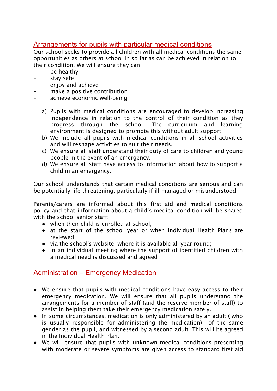# Arrangements for pupils with particular medical conditions

Our school seeks to provide all children with all medical conditions the same opportunities as others at school in so far as can be achieved in relation to their condition. We will ensure they can:

- be healthy
- stay safe
- enjoy and achieve
- make a positive contribution
- achieve economic well-being
	- a) Pupils with medical conditions are encouraged to develop increasing independence in relation to the control of their condition as they progress through the school. The curriculum and learning environment is designed to promote this without adult support.
	- b) We include all pupils with medical conditions in all school activities and will reshape activities to suit their needs.
	- c) We ensure all staff understand their duty of care to children and young people in the event of an emergency.
	- d) We ensure all staff have access to information about how to support a child in an emergency.

Our school understands that certain medical conditions are serious and can be potentially life-threatening, particularly if ill managed or misunderstood.

Parents/carers are informed about this first aid and medical conditions policy and that information about a child's medical condition will be shared with the school senior staff:

- when their child is enrolled at school;
- at the start of the school year or when Individual Health Plans are reviewed;
- via the school's website, where it is available all year round;
- in an individual meeting where the support of identified children with a medical need is discussed and agreed

# Administration – Emergency Medication

- We ensure that pupils with medical conditions have easy access to their emergency medication. We will ensure that all pupils understand the arrangements for a member of staff (and the reserve member of staff) to assist in helping them take their emergency medication safely.
- In some circumstances, medication is only administered by an adult (who is usually responsible for administering the medication) of the same gender as the pupil, and witnessed by a second adult. This will be agreed in the Individual Health Plan.
- We will ensure that pupils with unknown medical conditions presenting with moderate or severe symptoms are given access to standard first aid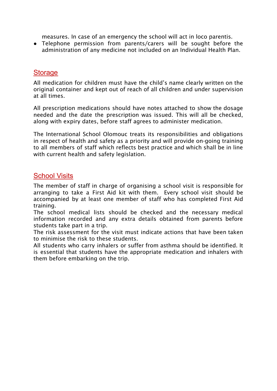measures. In case of an emergency the school will act in loco parentis.

● Telephone permission from parents/carers will be sought before the administration of any medicine not included on an Individual Health Plan.

## **Storage**

All medication for children must have the child's name clearly written on the original container and kept out of reach of all children and under supervision at all times.

All prescription medications should have notes attached to show the dosage needed and the date the prescription was issued. This will all be checked, along with expiry dates, before staff agrees to administer medication.

The International School Olomouc treats its responsibilities and obligations in respect of health and safety as a priority and will provide on-going training to all members of staff which reflects best practice and which shall be in line with current health and safety legislation.

# School Visits

The member of staff in charge of organising a school visit is responsible for arranging to take a First Aid kit with them. Every school visit should be accompanied by at least one member of staff who has completed First Aid training.

The school medical lists should be checked and the necessary medical information recorded and any extra details obtained from parents before students take part in a trip.

The risk assessment for the visit must indicate actions that have been taken to minimise the risk to these students.

All students who carry inhalers or suffer from asthma should be identified. It is essential that students have the appropriate medication and inhalers with them before embarking on the trip.